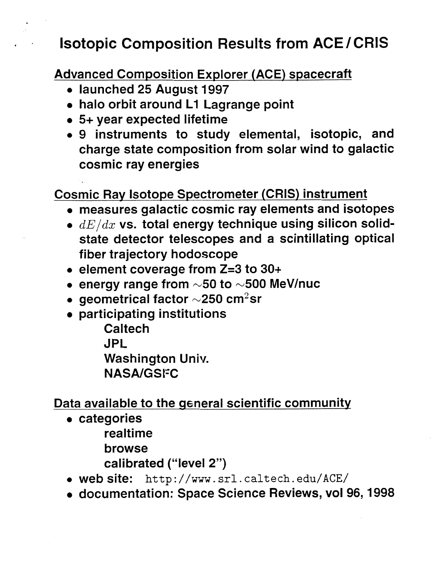### . **Isotopic Composition Results from ACE/CRIS**

**Advanced Cornposition Explorer (ACE) spacecraft** 

- *<sup>0</sup>***launched 25 August 1997**
- **halo orbit around L1 Lagrange point**
- **5+ year expected lifetime**
- *0* **9 instruments to study elemental, isotopic, and charge state composition from solar wind to galactic cosmic ray energies**

#### **Cosmic Ray Isotope Spectrometer (CRIS) instrument**

- **measures galactic cosmic ray elements and isotopes**
- *dE/dx* **vs. total energy technique using silicon solidstate detector telescopes and a scintillating optical fiber trajectory hodoscope**
- *<sup>0</sup>***element coverage from** *Z=3* **to 30+**
- energy range from  $\sim$ 50 to  $\sim$ 500 MeV/nuc
- *<sup>0</sup>***geometrical factor** *~250* **cm2sr**
- **participating institutions Caltech JPL Washington Univ. NASNGSFC**

**Data available to the general scientific community** 

- **categories** 
	- **realtime**
	- **browse**
	- **calibrated ("level 2")**
- *<sup>0</sup>***web site:** http: //www. srl. caltech. edu/ACE/
- **documentation: Space Science Reviews, vol 96,1998**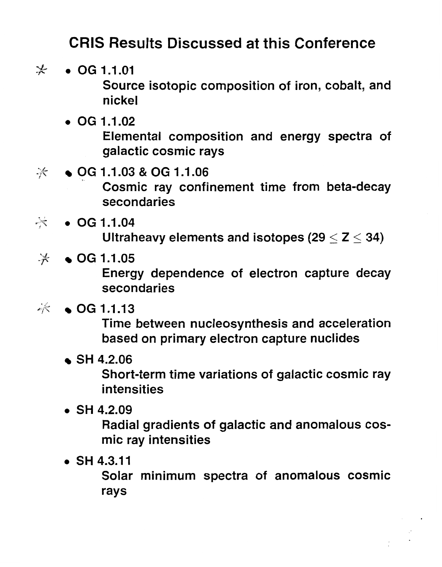### **CRIS Results Discussed at this Conference**

- $\frac{1}{2}$ . *OG* **1.1.01 Source isotopic composition of iron, cobalt, and nickel** 
	- *0 OG* **1.1.02 Elemental composition and energy spectra of galactic cosmic rays**
- *OG* **1.1.03** & *OG* **1.1.06 Cosmic ray confinement time from beta-decay secondaries**
- $\star$ . *OG* **1.1.04**  Ultraheavy elements and isotopes (29  $<$   $Z$   $<$  34)
- $\mathcal{K}$ *OG* **1.1.05**

**Energy dependence of electron capture decay secondaries** 

### $\frac{1}{2}$  **c** OG 1.1.13

**Time between nucleosynthesis and acceleration based on rimary electron capture nuclides** 

**SH 4.2.06** 

**Short-term time variations of galactic cosmic ray intensities** 

*<sup>0</sup>***SH 4.2.09** 

**Radial gradients of galactic and anomalous COSmic ray intensities** 

*e* **SH 4.3.1 1** 

**Solar minimum spectra of anomalous cosmic rays**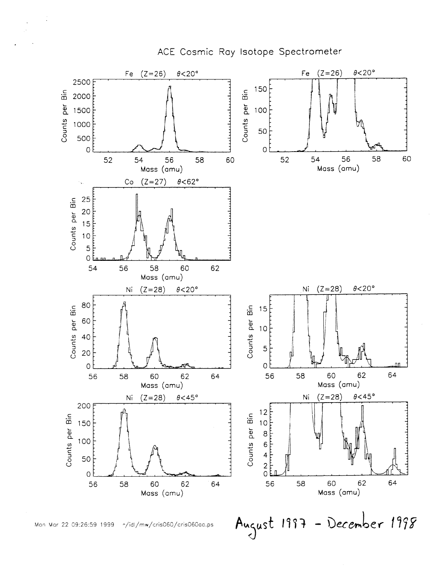

ACE Cosmic Ray Isotope Spectrometer

August 1997 - December 1998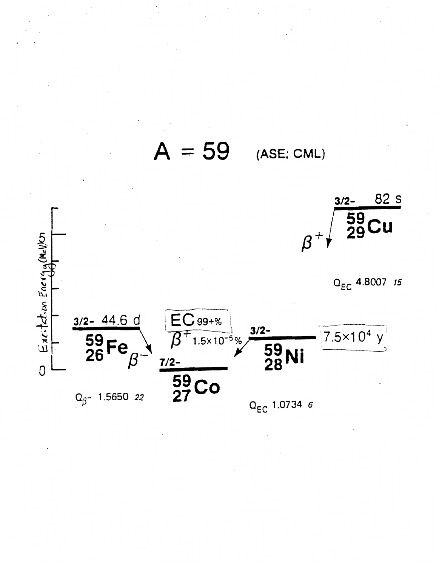

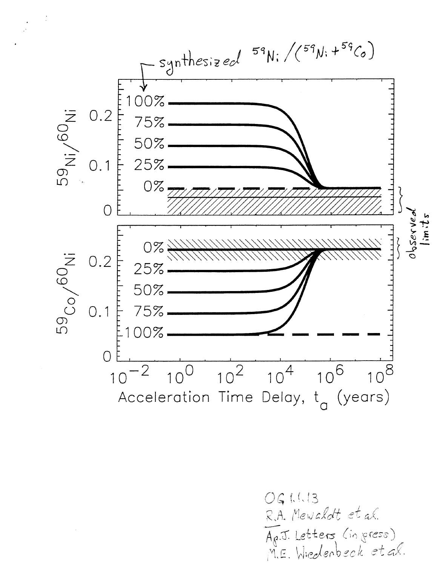

061.1.13 R.A. Mewaldt et al.<br>Ap.J. Letters (in press)<br>M.E. Wiedenbeck et al.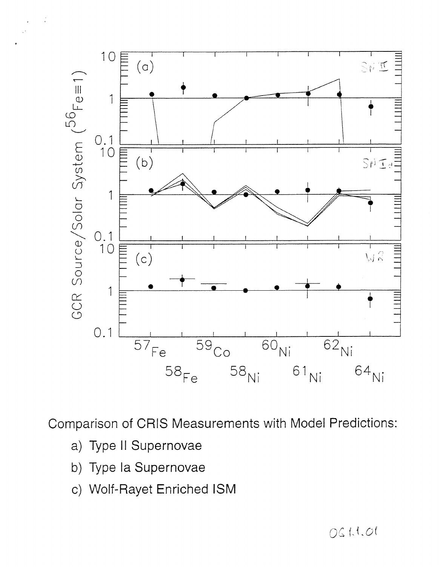<span id="page-5-0"></span>

Comparison of CRIS Measurements with Model Predictions:

- a) Type II Supernovae
- b) Type la Supernovae
- c) Wolf-Rayet Enriched ISM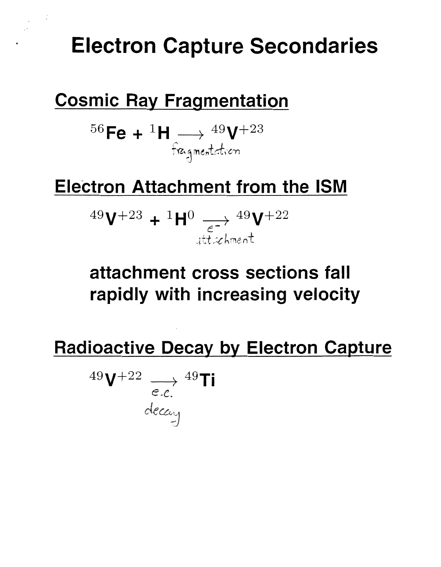# **Electron Capture Secondaries**

## **Cosmic Ray Fragmentation**

56 Fe +  ${}^{1}H \longrightarrow {}^{49}V^{+23}$ <br>fragmentation

# **Electron Attachment from the ISM**

 $^{49}\mathrm{V}^{+23}$  +  $^{1}\mathrm{H}^{0}$   $\longrightarrow$   $^{49}\mathrm{V}^{+22}$ ittichment

# attachment cross sections fall rapidly with increasing velocity

**Radioactive Decay by Electron Capture** 

$$
^{49}\mathrm{V}^{+22} \underset{e.c.}{\longrightarrow} ^{49}\mathrm{Ti}
$$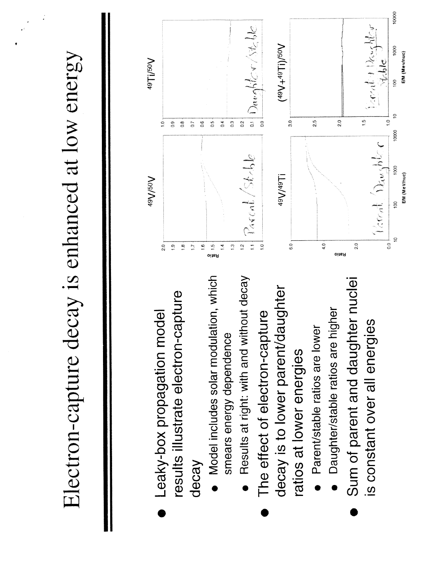Electron-capture decay is enhanced at low energy

- results illustrate electron-capture Leaky-box propagation model decay
- Model includes solar modulation, which smears energy dependence
	- Results at right: with and without decay
- decay is to lower parent/daughter The effect of electron-capture ratios at lower energies
	- Parent/stable ratios are lower
- Daughter/stable ratios are higher
- Sum of parent and daughter nuclei s constant over all energies

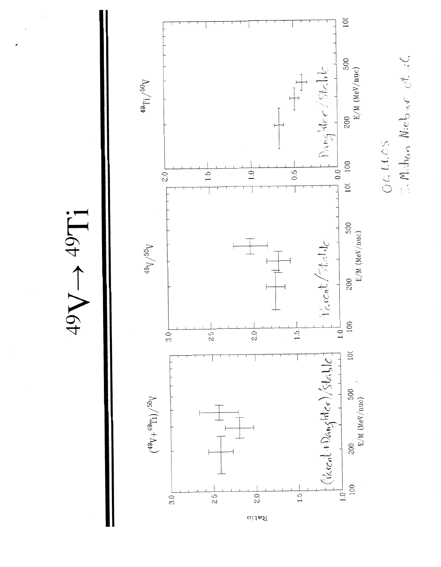$49V \rightarrow 49Ti$ 



3. Mahan Niebar et al.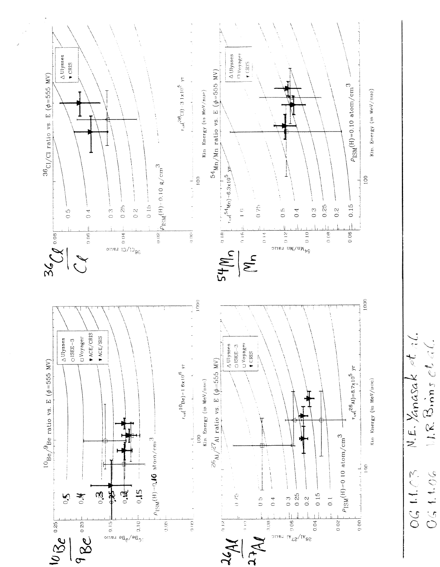

N.E. Yanasak ot al.  $1.1.8.$  Binns et al. 0611.03 041.06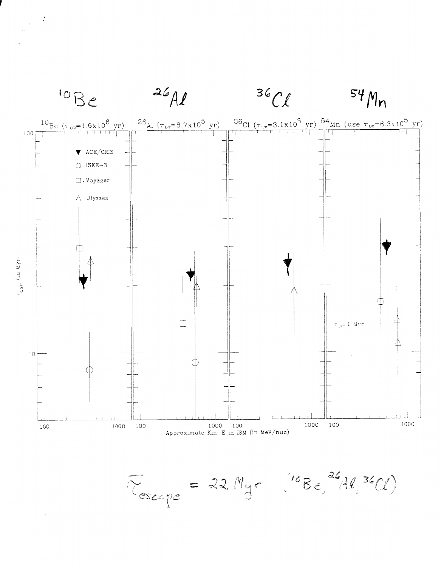

 $\overline{r}_{escape}$  = 22  $M_{yr}$  ( $^{10}Be^{26}Al^{36}Cl$ )